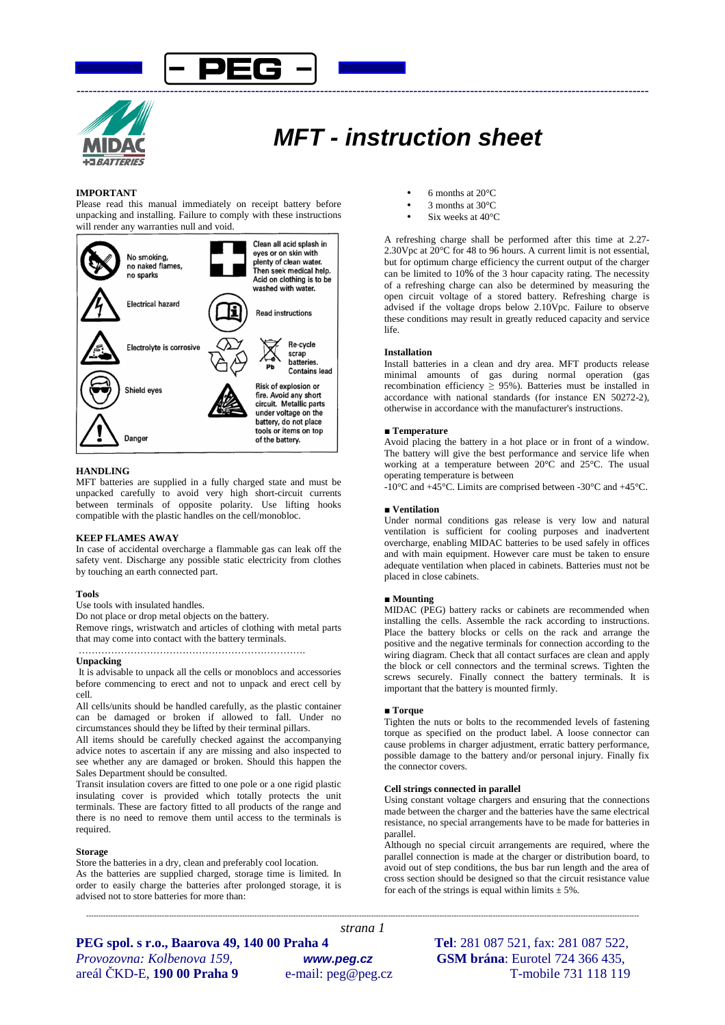



# **MFT - instruction sheet**

# **IMPORTANT**

Please read this manual immediately on receipt battery before unpacking and installing. Failure to comply with these instructions will render any warranties null and void.



### **HANDLING**

MFT batteries are supplied in a fully charged state and must be unpacked carefully to avoid very high short-circuit currents between terminals of opposite polarity. Use lifting hooks compatible with the plastic handles on the cell/monobloc.

### **KEEP FLAMES AWAY**

In case of accidental overcharge a flammable gas can leak off the safety vent. Discharge any possible static electricity from clothes by touching an earth connected part.

#### **Tools**

Use tools with insulated handles.

Do not place or drop metal objects on the battery.

Remove rings, wristwatch and articles of clothing with metal parts that may come into contact with the battery terminals.

#### **Unpacking**

 It is advisable to unpack all the cells or monoblocs and accessories before commencing to erect and not to unpack and erect cell by cell.

All cells/units should be handled carefully, as the plastic container can be damaged or broken if allowed to fall. Under no circumstances should they be lifted by their terminal pillars.

All items should be carefully checked against the accompanying advice notes to ascertain if any are missing and also inspected to see whether any are damaged or broken. Should this happen the Sales Department should be consulted.

Transit insulation covers are fitted to one pole or a one rigid plastic insulating cover is provided which totally protects the unit terminals. These are factory fitted to all products of the range and there is no need to remove them until access to the terminals is required.

#### **Storage**

Store the batteries in a dry, clean and preferably cool location. As the batteries are supplied charged, storage time is limited. In order to easily charge the batteries after prolonged storage, it is advised not to store batteries for more than:

- 6 months at  $20^{\circ}$ C
- 3 months at 30°C
- Six weeks at 40°C

A refreshing charge shall be performed after this time at 2.27- 2.30Vpc at  $20^{\circ}$ C for 48 to 96 hours. A current limit is not essential. but for optimum charge efficiency the current output of the charger can be limited to 10% of the 3 hour capacity rating. The necessity of a refreshing charge can also be determined by measuring the open circuit voltage of a stored battery. Refreshing charge is advised if the voltage drops below 2.10Vpc. Failure to observe these conditions may result in greatly reduced capacity and service life.

#### **Installation**

Install batteries in a clean and dry area. MFT products release minimal amounts of gas during normal operation (gas recombination efficiency  $\geq$  95%). Batteries must be installed in accordance with national standards (for instance EN 50272-2), otherwise in accordance with the manufacturer's instructions.

#### **■ Temperature**

Avoid placing the battery in a hot place or in front of a window. The battery will give the best performance and service life when working at a temperature between 20°C and 25°C. The usual operating temperature is between

-10°C and +45°C. Limits are comprised between -30°C and +45°C.

#### **■ Ventilation**

Under normal conditions gas release is very low and natural ventilation is sufficient for cooling purposes and inadvertent overcharge, enabling MIDAC batteries to be used safely in offices and with main equipment. However care must be taken to ensure adequate ventilation when placed in cabinets. Batteries must not be placed in close cabinets.

#### ■ **Mounting**

MIDAC (PEG) battery racks or cabinets are recommended when installing the cells. Assemble the rack according to instructions. Place the battery blocks or cells on the rack and arrange the positive and the negative terminals for connection according to the wiring diagram. Check that all contact surfaces are clean and apply the block or cell connectors and the terminal screws. Tighten the screws securely. Finally connect the battery terminals. It is important that the battery is mounted firmly.

#### ■ **Torque**

*---------------------------------------------------------------------------------------------------------------------------------------------------------------------------------------------------------------------------------- strana 1* 

Tighten the nuts or bolts to the recommended levels of fastening torque as specified on the product label. A loose connector can cause problems in charger adjustment, erratic battery performance, possible damage to the battery and/or personal injury. Finally fix the connector covers.

#### **Cell strings connected in parallel**

Using constant voltage chargers and ensuring that the connections made between the charger and the batteries have the same electrical resistance, no special arrangements have to be made for batteries in parallel.

Although no special circuit arrangements are required, where the parallel connection is made at the charger or distribution board, to avoid out of step conditions, the bus bar run length and the area of cross section should be designed so that the circuit resistance value for each of the strings is equal within limits  $\pm$  5%.

**PEG spol. s r.o., Baarova 49, 140 00 Praha 4 Tel**: 281 087 521, fax: 281 087 522, *Provozovna: Kolbenova 159,* **www.peg.cz GSM brána**: Eurotel 724 366 435, areál ČKD-E, **190 00 Praha 9** e-mail: peg@peg.cz T-mobile 731 118 119